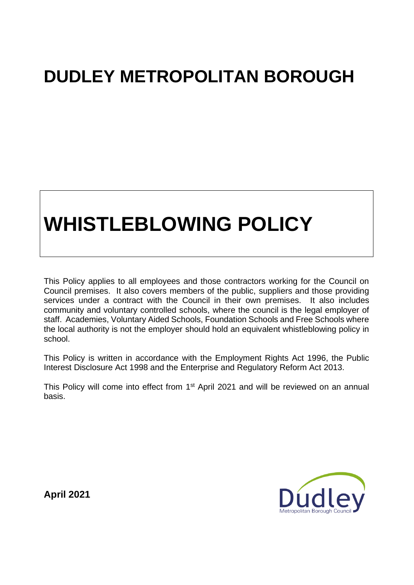## **DUDLEY METROPOLITAN BOROUGH**

# **WHISTLEBLOWING POLICY**

This Policy applies to all employees and those contractors working for the Council on Council premises. It also covers members of the public, suppliers and those providing services under a contract with the Council in their own premises. It also includes community and voluntary controlled schools, where the council is the legal employer of staff. Academies, Voluntary Aided Schools, Foundation Schools and Free Schools where the local authority is not the employer should hold an equivalent whistleblowing policy in school.

This Policy is written in accordance with the Employment Rights Act 1996, the Public Interest Disclosure Act 1998 and the Enterprise and Regulatory Reform Act 2013.

This Policy will come into effect from 1<sup>st</sup> April 2021 and will be reviewed on an annual basis.



**April 2021**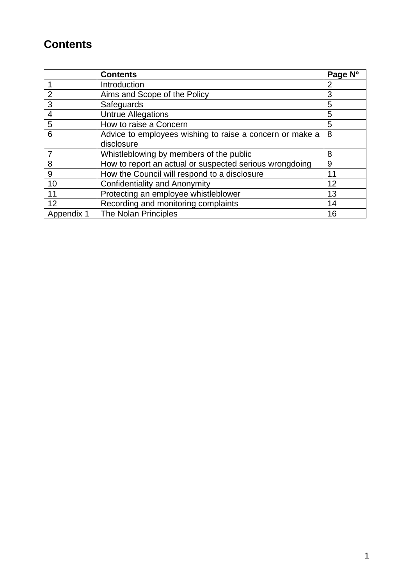### **Contents**

|                | <b>Contents</b>                                          | Page Nº |
|----------------|----------------------------------------------------------|---------|
|                | Introduction                                             | 2       |
| $\overline{2}$ | Aims and Scope of the Policy                             |         |
| 3              | Safeguards                                               | 5       |
| 4              | <b>Untrue Allegations</b>                                | 5       |
| 5              | How to raise a Concern                                   | 5       |
| 6              | Advice to employees wishing to raise a concern or make a | 8       |
|                | disclosure                                               |         |
|                | Whistleblowing by members of the public                  | 8       |
| 8              | How to report an actual or suspected serious wrongdoing  | 9       |
| 9              | How the Council will respond to a disclosure             | 11      |
| 10             | <b>Confidentiality and Anonymity</b>                     | 12      |
| 11             | Protecting an employee whistleblower                     | 13      |
| 12             | Recording and monitoring complaints                      | 14      |
| Appendix 1     | The Nolan Principles                                     | 16      |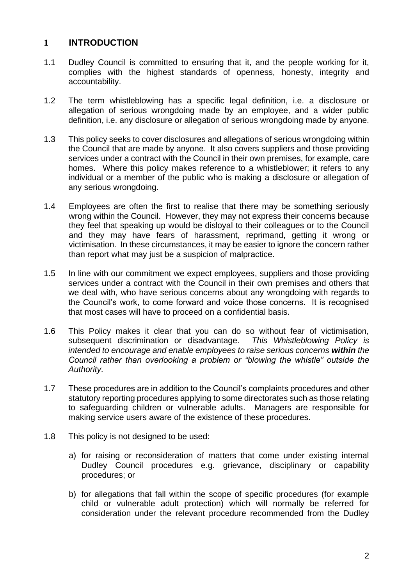#### **1 INTRODUCTION**

- 1.1 Dudley Council is committed to ensuring that it, and the people working for it, complies with the highest standards of openness, honesty, integrity and accountability.
- 1.2 The term whistleblowing has a specific legal definition, i.e. a disclosure or allegation of serious wrongdoing made by an employee, and a wider public definition, i.e. any disclosure or allegation of serious wrongdoing made by anyone.
- 1.3 This policy seeks to cover disclosures and allegations of serious wrongdoing within the Council that are made by anyone. It also covers suppliers and those providing services under a contract with the Council in their own premises, for example, care homes. Where this policy makes reference to a whistleblower; it refers to any individual or a member of the public who is making a disclosure or allegation of any serious wrongdoing.
- 1.4 Employees are often the first to realise that there may be something seriously wrong within the Council. However, they may not express their concerns because they feel that speaking up would be disloyal to their colleagues or to the Council and they may have fears of harassment, reprimand, getting it wrong or victimisation. In these circumstances, it may be easier to ignore the concern rather than report what may just be a suspicion of malpractice.
- 1.5 In line with our commitment we expect employees, suppliers and those providing services under a contract with the Council in their own premises and others that we deal with, who have serious concerns about any wrongdoing with regards to the Council's work, to come forward and voice those concerns. It is recognised that most cases will have to proceed on a confidential basis.
- 1.6 This Policy makes it clear that you can do so without fear of victimisation, subsequent discrimination or disadvantage. *This Whistleblowing Policy is intended to encourage and enable employees to raise serious concerns within the Council rather than overlooking a problem or "blowing the whistle" outside the Authority.*
- 1.7 These procedures are in addition to the Council's complaints procedures and other statutory reporting procedures applying to some directorates such as those relating to safeguarding children or vulnerable adults. Managers are responsible for making service users aware of the existence of these procedures.
- 1.8 This policy is not designed to be used:
	- a) for raising or reconsideration of matters that come under existing internal Dudley Council procedures e.g. grievance, disciplinary or capability procedures; or
	- b) for allegations that fall within the scope of specific procedures (for example child or vulnerable adult protection) which will normally be referred for consideration under the relevant procedure recommended from the Dudley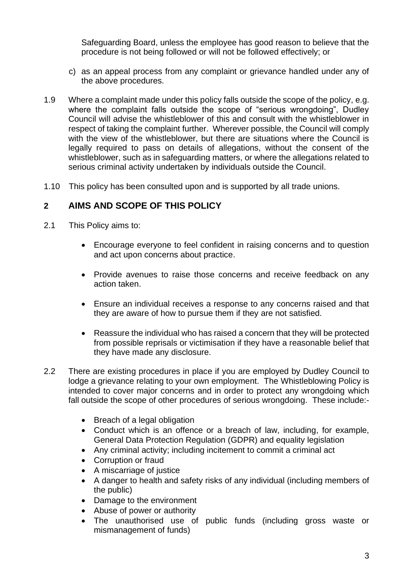Safeguarding Board, unless the employee has good reason to believe that the procedure is not being followed or will not be followed effectively; or

- c) as an appeal process from any complaint or grievance handled under any of the above procedures.
- 1.9 Where a complaint made under this policy falls outside the scope of the policy, e.g. where the complaint falls outside the scope of "serious wrongdoing", Dudley Council will advise the whistleblower of this and consult with the whistleblower in respect of taking the complaint further. Wherever possible, the Council will comply with the view of the whistleblower, but there are situations where the Council is legally required to pass on details of allegations, without the consent of the whistleblower, such as in safeguarding matters, or where the allegations related to serious criminal activity undertaken by individuals outside the Council.
- 1.10 This policy has been consulted upon and is supported by all trade unions.

#### **2 AIMS AND SCOPE OF THIS POLICY**

- 2.1 This Policy aims to:
	- Encourage everyone to feel confident in raising concerns and to question and act upon concerns about practice.
	- Provide avenues to raise those concerns and receive feedback on any action taken.
	- Ensure an individual receives a response to any concerns raised and that they are aware of how to pursue them if they are not satisfied.
	- Reassure the individual who has raised a concern that they will be protected from possible reprisals or victimisation if they have a reasonable belief that they have made any disclosure.
- 2.2 There are existing procedures in place if you are employed by Dudley Council to lodge a grievance relating to your own employment. The Whistleblowing Policy is intended to cover major concerns and in order to protect any wrongdoing which fall outside the scope of other procedures of serious wrongdoing. These include:-
	- Breach of a legal obligation
	- Conduct which is an offence or a breach of law, including, for example, General Data Protection Regulation (GDPR) and equality legislation
	- Any criminal activity; including incitement to commit a criminal act
	- Corruption or fraud
	- A miscarriage of justice
	- A danger to health and safety risks of any individual (including members of the public)
	- Damage to the environment
	- Abuse of power or authority
	- The unauthorised use of public funds (including gross waste or mismanagement of funds)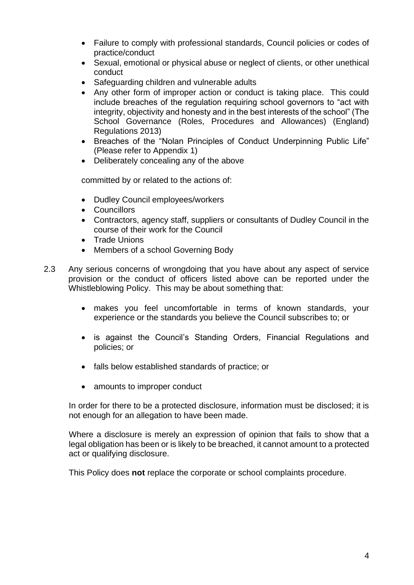- Failure to comply with professional standards, Council policies or codes of practice/conduct
- Sexual, emotional or physical abuse or neglect of clients, or other unethical conduct
- Safeguarding children and vulnerable adults
- Any other form of improper action or conduct is taking place. This could include breaches of the regulation requiring school governors to "act with integrity, objectivity and honesty and in the best interests of the school" (The School Governance (Roles, Procedures and Allowances) (England) Regulations 2013)
- Breaches of the "Nolan Principles of Conduct Underpinning Public Life" (Please refer to Appendix 1)
- Deliberately concealing any of the above

committed by or related to the actions of:

- Dudley Council employees/workers
- Councillors
- Contractors, agency staff, suppliers or consultants of Dudley Council in the course of their work for the Council
- Trade Unions
- Members of a school Governing Body
- 2.3 Any serious concerns of wrongdoing that you have about any aspect of service provision or the conduct of officers listed above can be reported under the Whistleblowing Policy. This may be about something that:
	- makes you feel uncomfortable in terms of known standards, your experience or the standards you believe the Council subscribes to; or
	- is against the Council's Standing Orders, Financial Regulations and policies; or
	- falls below established standards of practice; or
	- amounts to improper conduct

In order for there to be a protected disclosure, information must be disclosed; it is not enough for an allegation to have been made.

Where a disclosure is merely an expression of opinion that fails to show that a legal obligation has been or is likely to be breached, it cannot amount to a protected act or qualifying disclosure.

This Policy does **not** replace the corporate or school complaints procedure.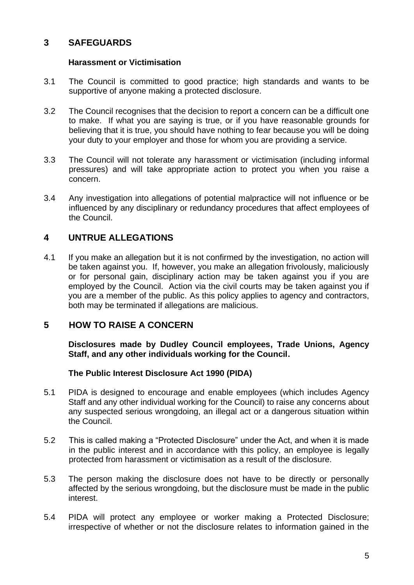#### **3 SAFEGUARDS**

#### **Harassment or Victimisation**

- 3.1 The Council is committed to good practice; high standards and wants to be supportive of anyone making a protected disclosure.
- 3.2 The Council recognises that the decision to report a concern can be a difficult one to make. If what you are saying is true, or if you have reasonable grounds for believing that it is true, you should have nothing to fear because you will be doing your duty to your employer and those for whom you are providing a service.
- 3.3 The Council will not tolerate any harassment or victimisation (including informal pressures) and will take appropriate action to protect you when you raise a concern.
- 3.4 Any investigation into allegations of potential malpractice will not influence or be influenced by any disciplinary or redundancy procedures that affect employees of the Council.

#### **4 UNTRUE ALLEGATIONS**

4.1 If you make an allegation but it is not confirmed by the investigation, no action will be taken against you. If, however, you make an allegation frivolously, maliciously or for personal gain, disciplinary action may be taken against you if you are employed by the Council. Action via the civil courts may be taken against you if you are a member of the public. As this policy applies to agency and contractors, both may be terminated if allegations are malicious.

#### **5 HOW TO RAISE A CONCERN**

**Disclosures made by Dudley Council employees, Trade Unions, Agency Staff, and any other individuals working for the Council.**

#### **The Public Interest Disclosure Act 1990 (PIDA)**

- 5.1 PIDA is designed to encourage and enable employees (which includes Agency Staff and any other individual working for the Council) to raise any concerns about any suspected serious wrongdoing, an illegal act or a dangerous situation within the Council.
- 5.2 This is called making a "Protected Disclosure" under the Act, and when it is made in the public interest and in accordance with this policy, an employee is legally protected from harassment or victimisation as a result of the disclosure.
- 5.3 The person making the disclosure does not have to be directly or personally affected by the serious wrongdoing, but the disclosure must be made in the public interest.
- 5.4 PIDA will protect any employee or worker making a Protected Disclosure; irrespective of whether or not the disclosure relates to information gained in the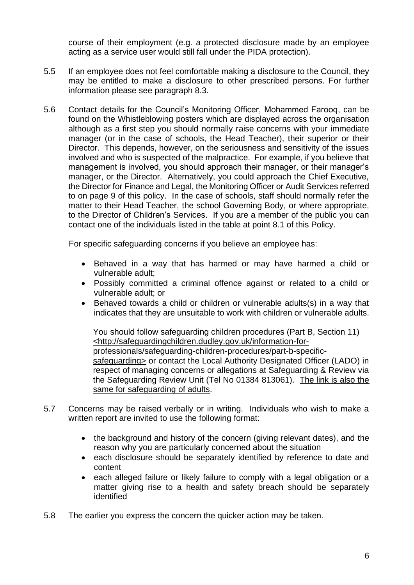course of their employment (e.g. a protected disclosure made by an employee acting as a service user would still fall under the PIDA protection).

- 5.5 If an employee does not feel comfortable making a disclosure to the Council, they may be entitled to make a disclosure to other prescribed persons. For further information please see paragraph 8.3.
- 5.6 Contact details for the Council's Monitoring Officer, Mohammed Farooq, can be found on the Whistleblowing posters which are displayed across the organisation although as a first step you should normally raise concerns with your immediate manager (or in the case of schools, the Head Teacher), their superior or their Director. This depends, however, on the seriousness and sensitivity of the issues involved and who is suspected of the malpractice. For example, if you believe that management is involved, you should approach their manager, or their manager's manager, or the Director. Alternatively, you could approach the Chief Executive, the Director for Finance and Legal, the Monitoring Officer or Audit Services referred to on page 9 of this policy. In the case of schools, staff should normally refer the matter to their Head Teacher, the school Governing Body, or where appropriate, to the Director of Children's Services. If you are a member of the public you can contact one of the individuals listed in the table at point 8.1 of this Policy.

For specific safeguarding concerns if you believe an employee has:

- Behaved in a way that has harmed or may have harmed a child or vulnerable adult;
- Possibly committed a criminal offence against or related to a child or vulnerable adult; or
- Behaved towards a child or children or vulnerable adults(s) in a way that indicates that they are unsuitable to work with children or vulnerable adults.

You should follow safeguarding children procedures (Part B, Section 11) [<http://safeguardingchildren.dudley.gov.uk/information-for](http://safeguardingchildren.dudley.gov.uk/information-for-professionals/safeguarding-children-procedures/part-b-specific-safeguarding)[professionals/safeguarding-children-procedures/part-b-specific](http://safeguardingchildren.dudley.gov.uk/information-for-professionals/safeguarding-children-procedures/part-b-specific-safeguarding)[safeguarding>](http://safeguardingchildren.dudley.gov.uk/information-for-professionals/safeguarding-children-procedures/part-b-specific-safeguarding) or contact the Local Authority Designated Officer (LADO) in respect of managing concerns or allegations at Safeguarding & Review via the Safeguarding Review Unit (Tel No 01384 813061). The link is also the same for safeguarding of adults.

- 5.7 Concerns may be raised verbally or in writing. Individuals who wish to make a written report are invited to use the following format:
	- the background and history of the concern (giving relevant dates), and the reason why you are particularly concerned about the situation
	- each disclosure should be separately identified by reference to date and content
	- each alleged failure or likely failure to comply with a legal obligation or a matter giving rise to a health and safety breach should be separately identified
- 5.8 The earlier you express the concern the quicker action may be taken.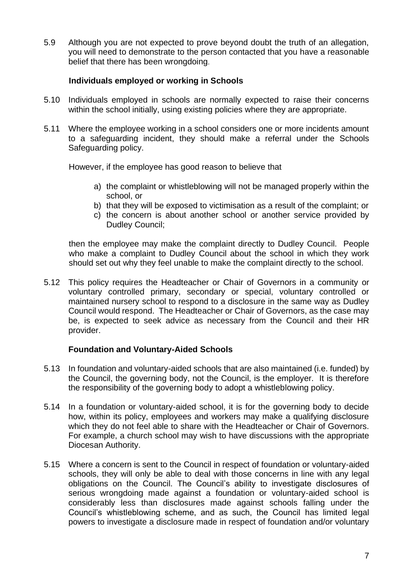5.9 Although you are not expected to prove beyond doubt the truth of an allegation, you will need to demonstrate to the person contacted that you have a reasonable belief that there has been wrongdoing.

#### **Individuals employed or working in Schools**

- 5.10 Individuals employed in schools are normally expected to raise their concerns within the school initially, using existing policies where they are appropriate.
- 5.11 Where the employee working in a school considers one or more incidents amount to a safeguarding incident, they should make a referral under the Schools Safeguarding policy.

However, if the employee has good reason to believe that

- a) the complaint or whistleblowing will not be managed properly within the school, or
- b) that they will be exposed to victimisation as a result of the complaint; or
- c) the concern is about another school or another service provided by Dudley Council;

then the employee may make the complaint directly to Dudley Council. People who make a complaint to Dudley Council about the school in which they work should set out why they feel unable to make the complaint directly to the school.

5.12 This policy requires the Headteacher or Chair of Governors in a community or voluntary controlled primary, secondary or special, voluntary controlled or maintained nursery school to respond to a disclosure in the same way as Dudley Council would respond. The Headteacher or Chair of Governors, as the case may be, is expected to seek advice as necessary from the Council and their HR provider.

#### **Foundation and Voluntary-Aided Schools**

- 5.13 In foundation and voluntary-aided schools that are also maintained (i.e. funded) by the Council, the governing body, not the Council, is the employer. It is therefore the responsibility of the governing body to adopt a whistleblowing policy.
- 5.14 In a foundation or voluntary-aided school, it is for the governing body to decide how, within its policy, employees and workers may make a qualifying disclosure which they do not feel able to share with the Headteacher or Chair of Governors. For example, a church school may wish to have discussions with the appropriate Diocesan Authority.
- 5.15 Where a concern is sent to the Council in respect of foundation or voluntary-aided schools, they will only be able to deal with those concerns in line with any legal obligations on the Council. The Council's ability to investigate disclosures of serious wrongdoing made against a foundation or voluntary-aided school is considerably less than disclosures made against schools falling under the Council's whistleblowing scheme, and as such, the Council has limited legal powers to investigate a disclosure made in respect of foundation and/or voluntary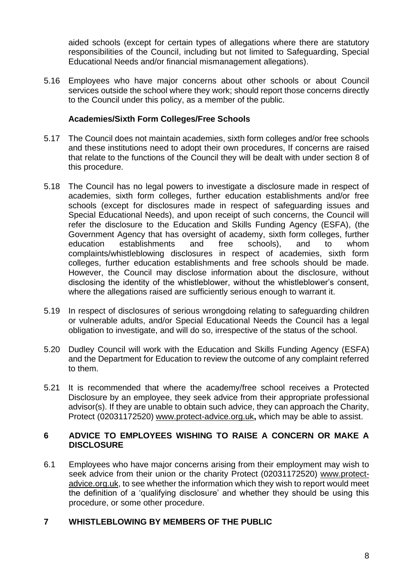aided schools (except for certain types of allegations where there are statutory responsibilities of the Council, including but not limited to Safeguarding, Special Educational Needs and/or financial mismanagement allegations).

5.16 Employees who have major concerns about other schools or about Council services outside the school where they work; should report those concerns directly to the Council under this policy, as a member of the public.

#### **Academies/Sixth Form Colleges/Free Schools**

- 5.17 The Council does not maintain academies, sixth form colleges and/or free schools and these institutions need to adopt their own procedures, If concerns are raised that relate to the functions of the Council they will be dealt with under section 8 of this procedure.
- 5.18 The Council has no legal powers to investigate a disclosure made in respect of academies, sixth form colleges, further education establishments and/or free schools (except for disclosures made in respect of safeguarding issues and Special Educational Needs), and upon receipt of such concerns, the Council will refer the disclosure to the Education and Skills Funding Agency (ESFA), (the Government Agency that has oversight of academy, sixth form colleges, further education establishments and free schools), and to whom complaints/whistleblowing disclosures in respect of academies, sixth form colleges, further education establishments and free schools should be made. However, the Council may disclose information about the disclosure, without disclosing the identity of the whistleblower, without the whistleblower's consent, where the allegations raised are sufficiently serious enough to warrant it.
- 5.19 In respect of disclosures of serious wrongdoing relating to safeguarding children or vulnerable adults, and/or Special Educational Needs the Council has a legal obligation to investigate, and will do so, irrespective of the status of the school.
- 5.20 Dudley Council will work with the Education and Skills Funding Agency (ESFA) and the Department for Education to review the outcome of any complaint referred to them.
- 5.21 It is recommended that where the academy/free school receives a Protected Disclosure by an employee, they seek advice from their appropriate professional advisor(s). If they are unable to obtain such advice, they can approach the Charity, Protect (02031172520) [www.protect-advice.org.uk](http://www.protect-advice.org.uk/)**,** which may be able to assist.

#### **6 ADVICE TO EMPLOYEES WISHING TO RAISE A CONCERN OR MAKE A DISCLOSURE**

6.1 Employees who have major concerns arising from their employment may wish to seek advice from their union or the charity Protect (02031172520) [www.protect](http://www.protect-advice.org.uk/)[advice.org.uk,](http://www.protect-advice.org.uk/) to see whether the information which they wish to report would meet the definition of a 'qualifying disclosure' and whether they should be using this procedure, or some other procedure.

#### **7 WHISTLEBLOWING BY MEMBERS OF THE PUBLIC**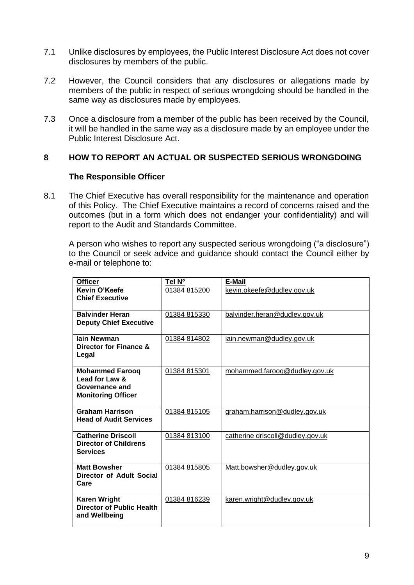- 7.1 Unlike disclosures by employees, the Public Interest Disclosure Act does not cover disclosures by members of the public.
- 7.2 However, the Council considers that any disclosures or allegations made by members of the public in respect of serious wrongdoing should be handled in the same way as disclosures made by employees.
- 7.3 Once a disclosure from a member of the public has been received by the Council, it will be handled in the same way as a disclosure made by an employee under the Public Interest Disclosure Act.

#### **8 HOW TO REPORT AN ACTUAL OR SUSPECTED SERIOUS WRONGDOING**

#### **The Responsible Officer**

8.1 The Chief Executive has overall responsibility for the maintenance and operation of this Policy. The Chief Executive maintains a record of concerns raised and the outcomes (but in a form which does not endanger your confidentiality) and will report to the Audit and Standards Committee.

A person who wishes to report any suspected serious wrongdoing ("a disclosure") to the Council or seek advice and guidance should contact the Council either by e-mail or telephone to:

| <b>Officer</b>                                                                          | Tel Nº       | <b>E-Mail</b>                    |
|-----------------------------------------------------------------------------------------|--------------|----------------------------------|
| Kevin O'Keefe<br><b>Chief Executive</b>                                                 | 01384 815200 | kevin.okeefe@dudley.gov.uk       |
| <b>Balvinder Heran</b><br><b>Deputy Chief Executive</b>                                 | 01384 815330 | balvinder.heran@dudley.gov.uk    |
| lain Newman<br>Director for Finance &<br>Legal                                          | 01384 814802 | iain.newman@dudley.gov.uk        |
| <b>Mohammed Faroog</b><br>Lead for Law &<br>Governance and<br><b>Monitoring Officer</b> | 01384 815301 | mohammed.faroog@dudley.gov.uk    |
| <b>Graham Harrison</b><br><b>Head of Audit Services</b>                                 | 01384 815105 | graham.harrison@dudley.gov.uk    |
| <b>Catherine Driscoll</b><br><b>Director of Childrens</b><br><b>Services</b>            | 01384 813100 | catherine driscoll@dudley.gov.uk |
| <b>Matt Bowsher</b><br>Director of Adult Social<br>Care                                 | 01384 815805 | Matt.bowsher@dudley.gov.uk       |
| <b>Karen Wright</b><br>Director of Public Health<br>and Wellbeing                       | 01384 816239 | karen.wright@dudley.gov.uk       |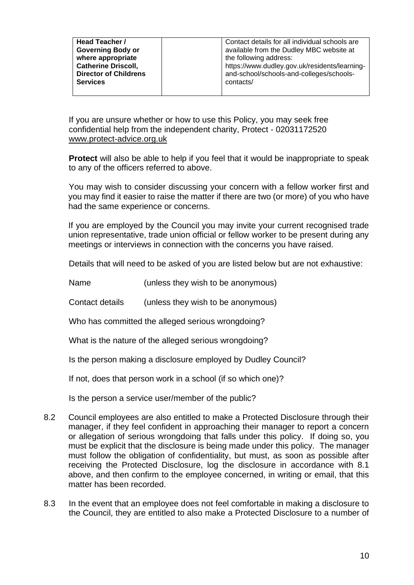| Contact details for all individual schools are<br>Head Teacher /<br><b>Governing Body or</b><br>available from the Dudley MBC website at<br>where appropriate<br>the following address:<br><b>Catherine Driscoll,</b><br>https://www.dudley.gov.uk/residents/learning-<br>and-school/schools-and-colleges/schools-<br><b>Director of Childrens</b><br><b>Services</b><br>contacts/ |
|------------------------------------------------------------------------------------------------------------------------------------------------------------------------------------------------------------------------------------------------------------------------------------------------------------------------------------------------------------------------------------|
|------------------------------------------------------------------------------------------------------------------------------------------------------------------------------------------------------------------------------------------------------------------------------------------------------------------------------------------------------------------------------------|

If you are unsure whether or how to use this Policy, you may seek free confidential help from the independent charity, Protect - 02031172520 [www.protect-advice.org.uk](http://www.protect-advice.org.uk/)

**Protect** will also be able to help if you feel that it would be inappropriate to speak to any of the officers referred to above.

You may wish to consider discussing your concern with a fellow worker first and you may find it easier to raise the matter if there are two (or more) of you who have had the same experience or concerns.

If you are employed by the Council you may invite your current recognised trade union representative, trade union official or fellow worker to be present during any meetings or interviews in connection with the concerns you have raised.

Details that will need to be asked of you are listed below but are not exhaustive:

Name (unless they wish to be anonymous)

Contact details (unless they wish to be anonymous)

Who has committed the alleged serious wrongdoing?

What is the nature of the alleged serious wrongdoing?

Is the person making a disclosure employed by Dudley Council?

If not, does that person work in a school (if so which one)?

Is the person a service user/member of the public?

- 8.2 Council employees are also entitled to make a Protected Disclosure through their manager, if they feel confident in approaching their manager to report a concern or allegation of serious wrongdoing that falls under this policy. If doing so, you must be explicit that the disclosure is being made under this policy. The manager must follow the obligation of confidentiality, but must, as soon as possible after receiving the Protected Disclosure, log the disclosure in accordance with 8.1 above, and then confirm to the employee concerned, in writing or email, that this matter has been recorded.
- 8.3 In the event that an employee does not feel comfortable in making a disclosure to the Council, they are entitled to also make a Protected Disclosure to a number of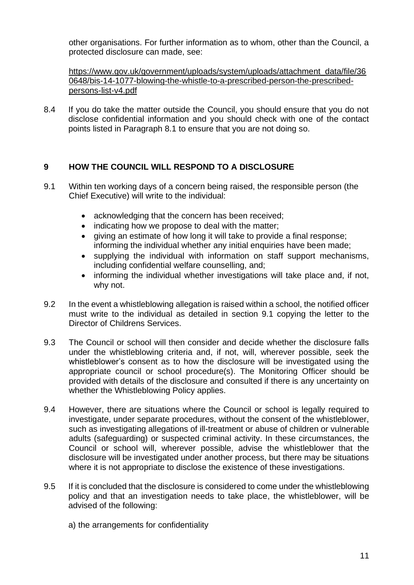other organisations. For further information as to whom, other than the Council, a protected disclosure can made, see:

[https://www.gov.uk/government/uploads/system/uploads/attachment\\_data/file/36](https://www.gov.uk/government/uploads/system/uploads/attachment_data/file/360648/bis-14-1077-blowing-the-whistle-to-a-prescribed-person-the-prescribed-persons-list-v4.pdf) [0648/bis-14-1077-blowing-the-whistle-to-a-prescribed-person-the-prescribed](https://www.gov.uk/government/uploads/system/uploads/attachment_data/file/360648/bis-14-1077-blowing-the-whistle-to-a-prescribed-person-the-prescribed-persons-list-v4.pdf)[persons-list-v4.pdf](https://www.gov.uk/government/uploads/system/uploads/attachment_data/file/360648/bis-14-1077-blowing-the-whistle-to-a-prescribed-person-the-prescribed-persons-list-v4.pdf)

8.4 If you do take the matter outside the Council, you should ensure that you do not disclose confidential information and you should check with one of the contact points listed in Paragraph 8.1 to ensure that you are not doing so.

#### **9 HOW THE COUNCIL WILL RESPOND TO A DISCLOSURE**

- 9.1 Within ten working days of a concern being raised, the responsible person (the Chief Executive) will write to the individual:
	- acknowledging that the concern has been received;
	- indicating how we propose to deal with the matter;
	- giving an estimate of how long it will take to provide a final response: informing the individual whether any initial enquiries have been made;
	- supplying the individual with information on staff support mechanisms, including confidential welfare counselling, and;
	- informing the individual whether investigations will take place and, if not, why not.
- 9.2 In the event a whistleblowing allegation is raised within a school, the notified officer must write to the individual as detailed in section 9.1 copying the letter to the Director of Childrens Services.
- 9.3 The Council or school will then consider and decide whether the disclosure falls under the whistleblowing criteria and, if not, will, wherever possible, seek the whistleblower's consent as to how the disclosure will be investigated using the appropriate council or school procedure(s). The Monitoring Officer should be provided with details of the disclosure and consulted if there is any uncertainty on whether the Whistleblowing Policy applies.
- 9.4 However, there are situations where the Council or school is legally required to investigate, under separate procedures, without the consent of the whistleblower, such as investigating allegations of ill-treatment or abuse of children or vulnerable adults (safeguarding) or suspected criminal activity. In these circumstances, the Council or school will, wherever possible, advise the whistleblower that the disclosure will be investigated under another process, but there may be situations where it is not appropriate to disclose the existence of these investigations.
- 9.5 If it is concluded that the disclosure is considered to come under the whistleblowing policy and that an investigation needs to take place, the whistleblower, will be advised of the following:
	- a) the arrangements for confidentiality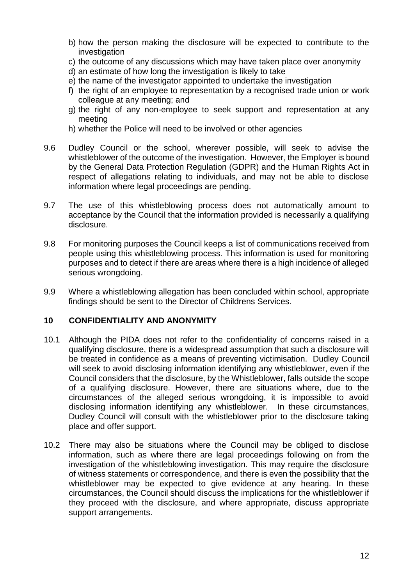- b) how the person making the disclosure will be expected to contribute to the investigation
- c) the outcome of any discussions which may have taken place over anonymity
- d) an estimate of how long the investigation is likely to take
- e) the name of the investigator appointed to undertake the investigation
- f) the right of an employee to representation by a recognised trade union or work colleague at any meeting; and
- g) the right of any non-employee to seek support and representation at any meeting
- h) whether the Police will need to be involved or other agencies
- 9.6 Dudley Council or the school, wherever possible, will seek to advise the whistleblower of the outcome of the investigation. However, the Employer is bound by the General Data Protection Regulation (GDPR) and the Human Rights Act in respect of allegations relating to individuals, and may not be able to disclose information where legal proceedings are pending.
- 9.7 The use of this whistleblowing process does not automatically amount to acceptance by the Council that the information provided is necessarily a qualifying disclosure.
- 9.8 For monitoring purposes the Council keeps a list of communications received from people using this whistleblowing process. This information is used for monitoring purposes and to detect if there are areas where there is a high incidence of alleged serious wrongdoing.
- 9.9 Where a whistleblowing allegation has been concluded within school, appropriate findings should be sent to the Director of Childrens Services.

#### **10 CONFIDENTIALITY AND ANONYMITY**

- 10.1 Although the PIDA does not refer to the confidentiality of concerns raised in a qualifying disclosure, there is a widespread assumption that such a disclosure will be treated in confidence as a means of preventing victimisation. Dudley Council will seek to avoid disclosing information identifying any whistleblower, even if the Council considers that the disclosure, by the Whistleblower, falls outside the scope of a qualifying disclosure. However, there are situations where, due to the circumstances of the alleged serious wrongdoing, it is impossible to avoid disclosing information identifying any whistleblower. In these circumstances, Dudley Council will consult with the whistleblower prior to the disclosure taking place and offer support.
- 10.2 There may also be situations where the Council may be obliged to disclose information, such as where there are legal proceedings following on from the investigation of the whistleblowing investigation. This may require the disclosure of witness statements or correspondence, and there is even the possibility that the whistleblower may be expected to give evidence at any hearing. In these circumstances, the Council should discuss the implications for the whistleblower if they proceed with the disclosure, and where appropriate, discuss appropriate support arrangements.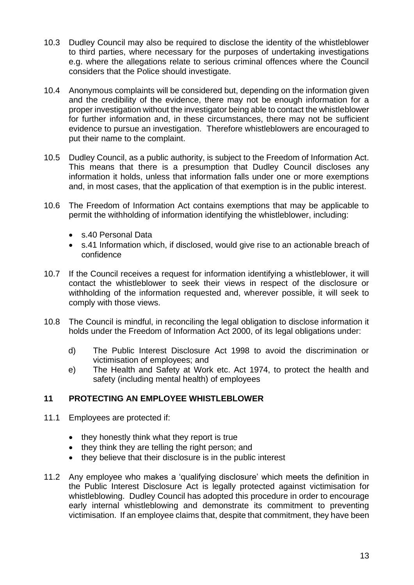- 10.3 Dudley Council may also be required to disclose the identity of the whistleblower to third parties, where necessary for the purposes of undertaking investigations e.g. where the allegations relate to serious criminal offences where the Council considers that the Police should investigate.
- 10.4 Anonymous complaints will be considered but, depending on the information given and the credibility of the evidence, there may not be enough information for a proper investigation without the investigator being able to contact the whistleblower for further information and, in these circumstances, there may not be sufficient evidence to pursue an investigation. Therefore whistleblowers are encouraged to put their name to the complaint.
- 10.5 Dudley Council, as a public authority, is subject to the Freedom of Information Act. This means that there is a presumption that Dudley Council discloses any information it holds, unless that information falls under one or more exemptions and, in most cases, that the application of that exemption is in the public interest.
- 10.6 The Freedom of Information Act contains exemptions that may be applicable to permit the withholding of information identifying the whistleblower, including:
	- s.40 Personal Data
	- s.41 Information which, if disclosed, would give rise to an actionable breach of confidence
- 10.7 If the Council receives a request for information identifying a whistleblower, it will contact the whistleblower to seek their views in respect of the disclosure or withholding of the information requested and, wherever possible, it will seek to comply with those views.
- 10.8 The Council is mindful, in reconciling the legal obligation to disclose information it holds under the Freedom of Information Act 2000, of its legal obligations under:
	- d) The Public Interest Disclosure Act 1998 to avoid the discrimination or victimisation of employees; and
	- e) The Health and Safety at Work etc. Act 1974, to protect the health and safety (including mental health) of employees

#### **11 PROTECTING AN EMPLOYEE WHISTLEBLOWER**

- 11.1 Employees are protected if:
	- they honestly think what they report is true
	- they think they are telling the right person; and
	- they believe that their disclosure is in the public interest
- 11.2 Any employee who makes a 'qualifying disclosure' which meets the definition in the Public Interest Disclosure Act is legally protected against victimisation for whistleblowing. Dudley Council has adopted this procedure in order to encourage early internal whistleblowing and demonstrate its commitment to preventing victimisation. If an employee claims that, despite that commitment, they have been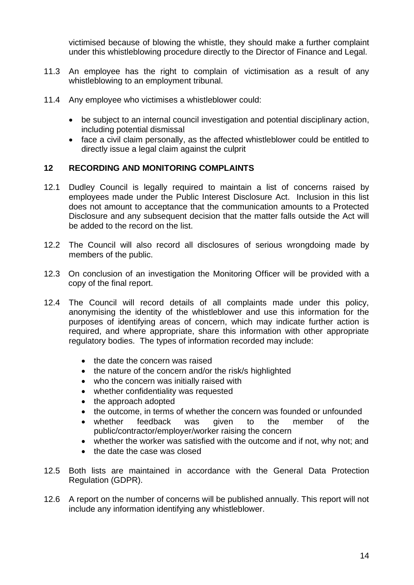victimised because of blowing the whistle, they should make a further complaint under this whistleblowing procedure directly to the Director of Finance and Legal.

- 11.3 An employee has the right to complain of victimisation as a result of any whistleblowing to an employment tribunal.
- 11.4 Any employee who victimises a whistleblower could:
	- be subject to an internal council investigation and potential disciplinary action, including potential dismissal
	- face a civil claim personally, as the affected whistleblower could be entitled to directly issue a legal claim against the culprit

#### **12 RECORDING AND MONITORING COMPLAINTS**

- 12.1 Dudley Council is legally required to maintain a list of concerns raised by employees made under the Public Interest Disclosure Act. Inclusion in this list does not amount to acceptance that the communication amounts to a Protected Disclosure and any subsequent decision that the matter falls outside the Act will be added to the record on the list.
- 12.2 The Council will also record all disclosures of serious wrongdoing made by members of the public.
- 12.3 On conclusion of an investigation the Monitoring Officer will be provided with a copy of the final report.
- 12.4 The Council will record details of all complaints made under this policy, anonymising the identity of the whistleblower and use this information for the purposes of identifying areas of concern, which may indicate further action is required, and where appropriate, share this information with other appropriate regulatory bodies. The types of information recorded may include:
	- the date the concern was raised
	- the nature of the concern and/or the risk/s highlighted
	- who the concern was initially raised with
	- whether confidentiality was requested
	- the approach adopted
	- the outcome, in terms of whether the concern was founded or unfounded
	- whether feedback was given to the member of the public/contractor/employer/worker raising the concern
	- whether the worker was satisfied with the outcome and if not, why not; and
	- the date the case was closed
- 12.5 Both lists are maintained in accordance with the General Data Protection Regulation (GDPR).
- 12.6 A report on the number of concerns will be published annually. This report will not include any information identifying any whistleblower.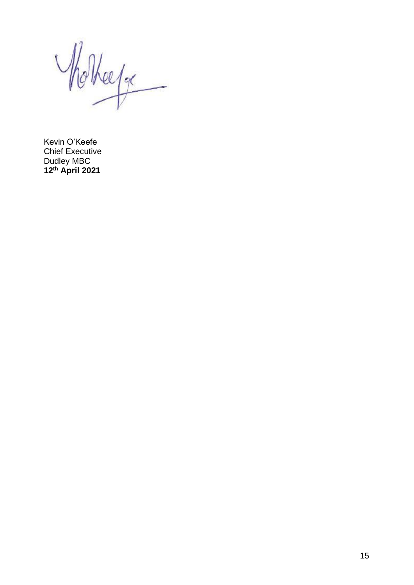Notherfor

Kevin O'Keefe Chief Executive Dudley MBC **12th April 2021**